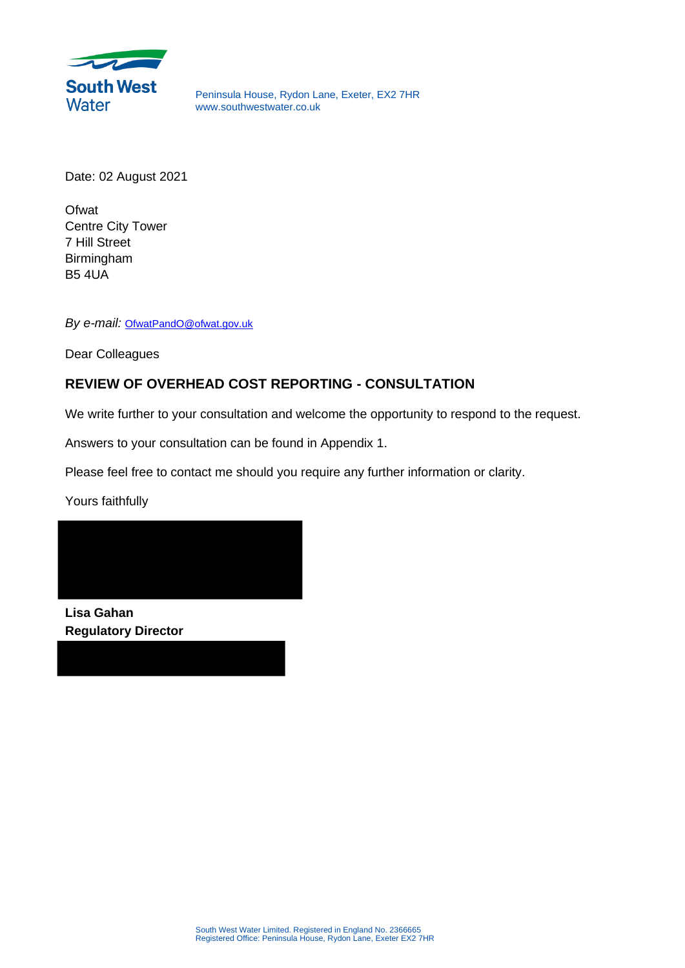

Peninsula House, Rydon Lane, Exeter, EX2 7HR www.southwestwater.co.uk

Date: 02 August 2021

**Ofwat** Centre City Tower 7 Hill Street Birmingham B5 4UA

*By e-mail:* OfwatPandO@ofwat.gov.uk

Dear Colleagues

## **REVIEW OF OVERHEAD COST REPORTING - CONSULTATION**

We write further to your consultation and welcome the opportunity to respond to the request.

Answers to your consultation can be found in Appendix 1.

Please feel free to contact me should you require any further information or clarity.

Yours faithfully



**Lisa Gahan Regulatory Director**